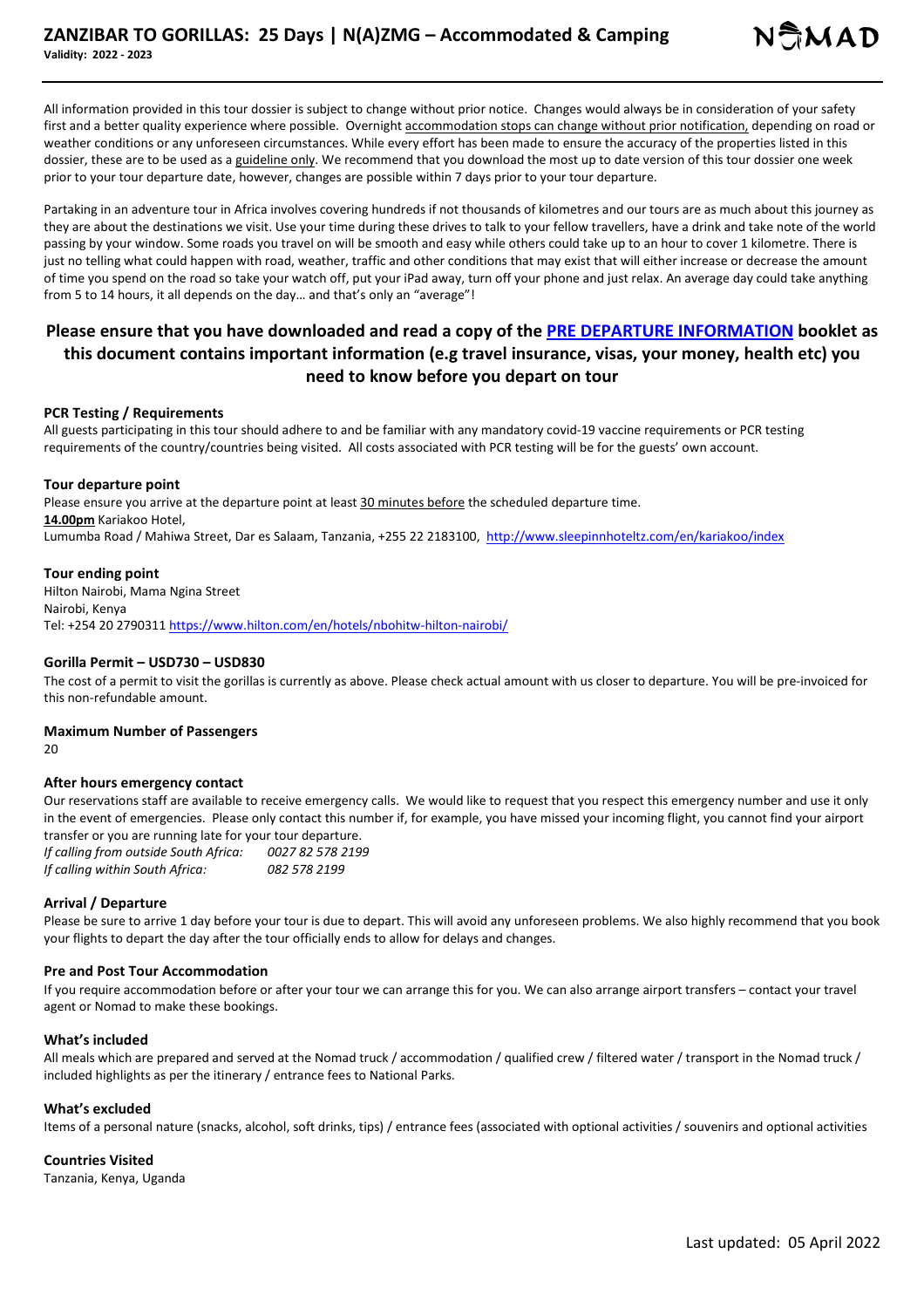All information provided in this tour dossier is subject to change without prior notice. Changes would always be in consideration of your safety first and a better quality experience where possible. Overnight accommodation stops can change without prior notification, depending on road or weather conditions or any unforeseen circumstances. While every effort has been made to ensure the accuracy of the properties listed in this dossier, these are to be used as a guideline only. We recommend that you download the most up to date version of this tour dossier one week prior to your tour departure date, however, changes are possible within 7 days prior to your tour departure.

Partaking in an adventure tour in Africa involves covering hundreds if not thousands of kilometres and our tours are as much about this journey as they are about the destinations we visit. Use your time during these drives to talk to your fellow travellers, have a drink and take note of the world passing by your window. Some roads you travel on will be smooth and easy while others could take up to an hour to cover 1 kilometre. There is just no telling what could happen with road, weather, traffic and other conditions that may exist that will either increase or decrease the amount of time you spend on the road so take your watch off, put your iPad away, turn off your phone and just relax. An average day could take anything from 5 to 14 hours, it all depends on the day… and that's only an "average"!

## **Please ensure that you have downloaded and read a copy of the PRE DEPARTURE INFORMATION booklet as this document contains important information (e.g travel insurance, visas, your money, health etc) you need to know before you depart on tour**

#### **PCR Testing / Requirements**

All guests participating in this tour should adhere to and be familiar with any mandatory covid-19 vaccine requirements or PCR testing requirements of the country/countries being visited. All costs associated with PCR testing will be for the guests' own account.

#### **Tour departure point**

Please ensure you arrive at the departure point at least 30 minutes before the scheduled departure time. **14.00pm** Kariakoo Hotel, Lumumba Road / Mahiwa Street, Dar es Salaam, Tanzania, +255 22 2183100, http://www.sleepinnhoteltz.com/en/kariakoo/index

## **Tour ending point**

Hilton Nairobi, Mama Ngina Street Nairobi, Kenya Tel: +254 20 2790311 https://www.hilton.com/en/hotels/nbohitw-hilton-nairobi/

### **Gorilla Permit – USD730 – USD830**

The cost of a permit to visit the gorillas is currently as above. Please check actual amount with us closer to departure. You will be pre-invoiced for this non-refundable amount.

#### **Maximum Number of Passengers**

20

#### **After hours emergency contact**

Our reservations staff are available to receive emergency calls. We would like to request that you respect this emergency number and use it only in the event of emergencies. Please only contact this number if, for example, you have missed your incoming flight, you cannot find your airport transfer or you are running late for your tour departure.

*If calling from outside South Africa: 0027 82 578 2199 If calling within South Africa: 082 578 2199*

#### **Arrival / Departure**

Please be sure to arrive 1 day before your tour is due to depart. This will avoid any unforeseen problems. We also highly recommend that you book your flights to depart the day after the tour officially ends to allow for delays and changes.

#### **Pre and Post Tour Accommodation**

If you require accommodation before or after your tour we can arrange this for you. We can also arrange airport transfers – contact your travel agent or Nomad to make these bookings.

#### **What's included**

All meals which are prepared and served at the Nomad truck / accommodation / qualified crew / filtered water / transport in the Nomad truck / included highlights as per the itinerary / entrance fees to National Parks.

#### **What's excluded**

Items of a personal nature (snacks, alcohol, soft drinks, tips) / entrance fees (associated with optional activities / souvenirs and optional activities

#### **Countries Visited**

Tanzania, Kenya, Uganda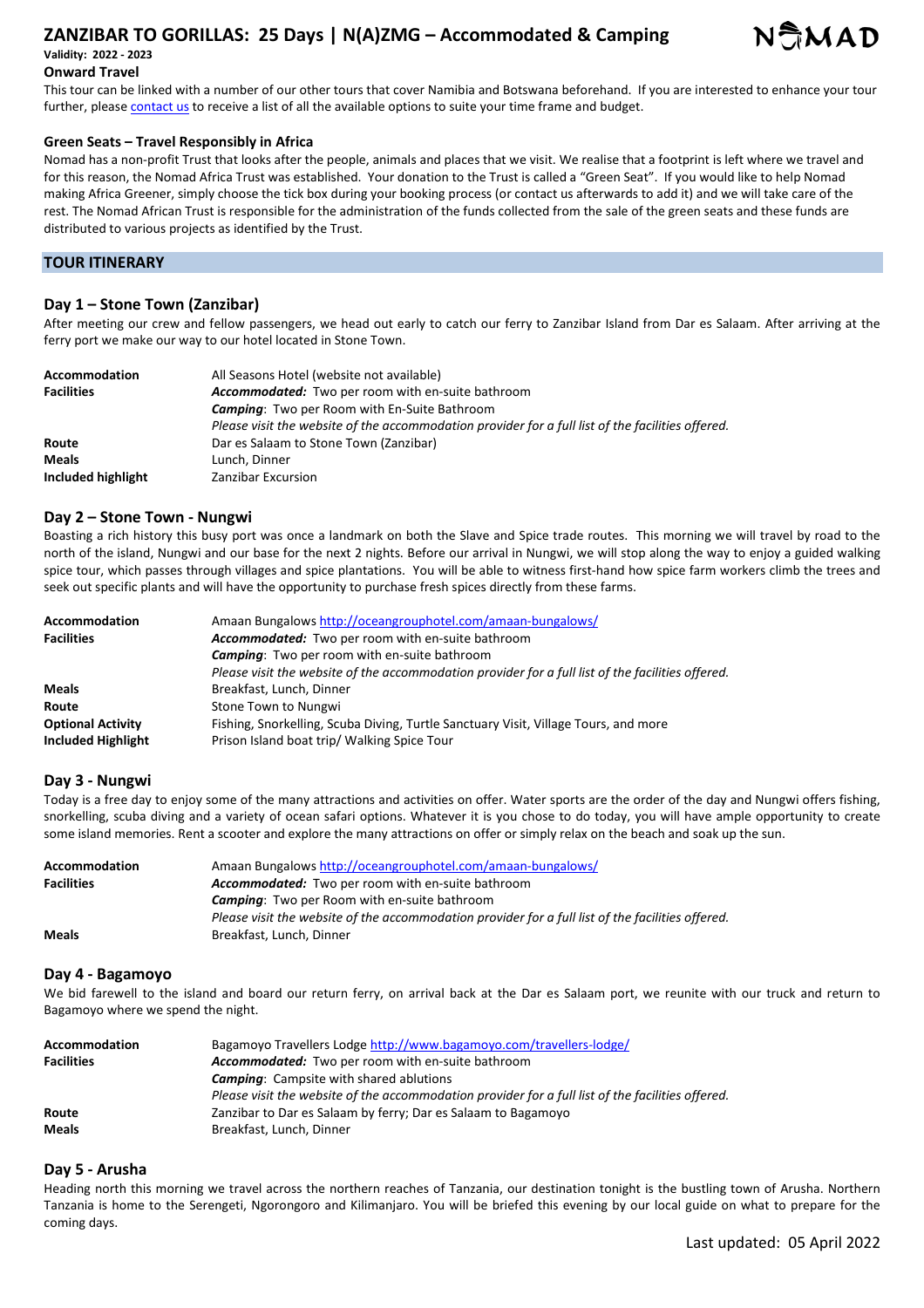## **ZANZIBAR TO GORILLAS: 25 Days | N(A)ZMG – Accommodated & Camping Validity: 2022 - 2023**



## **Onward Travel**

This tour can be linked with a number of our other tours that cover Namibia and Botswana beforehand. If you are interested to enhance your tour further, please contact us to receive a list of all the available options to suite your time frame and budget.

### **Green Seats – Travel Responsibly in Africa**

Nomad has a non-profit Trust that looks after the people, animals and places that we visit. We realise that a footprint is left where we travel and for this reason, the Nomad Africa Trust was established. Your donation to the Trust is called a "Green Seat". If you would like to help Nomad making Africa Greener, simply choose the tick box during your booking process (or contact us afterwards to add it) and we will take care of the rest. The Nomad African Trust is responsible for the administration of the funds collected from the sale of the green seats and these funds are distributed to various projects as identified by the Trust.

## **TOUR ITINERARY**

## **Day 1 – Stone Town (Zanzibar)**

After meeting our crew and fellow passengers, we head out early to catch our ferry to Zanzibar Island from Dar es Salaam. After arriving at the ferry port we make our way to our hotel located in Stone Town.

| <b>Accommodation</b> | All Seasons Hotel (website not available)                                                         |
|----------------------|---------------------------------------------------------------------------------------------------|
| <b>Facilities</b>    | Accommodated: Two per room with en-suite bathroom                                                 |
|                      | <b>Camping:</b> Two per Room with En-Suite Bathroom                                               |
|                      | Please visit the website of the accommodation provider for a full list of the facilities offered. |
| Route                | Dar es Salaam to Stone Town (Zanzibar)                                                            |
| <b>Meals</b>         | Lunch. Dinner                                                                                     |
| Included highlight   | Zanzibar Excursion                                                                                |

## **Day 2 – Stone Town - Nungwi**

Boasting a rich history this busy port was once a landmark on both the Slave and Spice trade routes. This morning we will travel by road to the north of the island, Nungwi and our base for the next 2 nights. Before our arrival in Nungwi, we will stop along the way to enjoy a guided walking spice tour, which passes through villages and spice plantations. You will be able to witness first-hand how spice farm workers climb the trees and seek out specific plants and will have the opportunity to purchase fresh spices directly from these farms.

| Accommodation             | Amaan Bungalows http://oceangrouphotel.com/amaan-bungalows/                                       |
|---------------------------|---------------------------------------------------------------------------------------------------|
| <b>Facilities</b>         | Accommodated: Two per room with en-suite bathroom                                                 |
|                           | <b>Camping:</b> Two per room with en-suite bathroom                                               |
|                           | Please visit the website of the accommodation provider for a full list of the facilities offered. |
| <b>Meals</b>              | Breakfast, Lunch, Dinner                                                                          |
| Route                     | Stone Town to Nungwi                                                                              |
| <b>Optional Activity</b>  | Fishing, Snorkelling, Scuba Diving, Turtle Sanctuary Visit, Village Tours, and more               |
| <b>Included Highlight</b> | Prison Island boat trip/ Walking Spice Tour                                                       |

## **Day 3 - Nungwi**

Today is a free day to enjoy some of the many attractions and activities on offer. Water sports are the order of the day and Nungwi offers fishing, snorkelling, scuba diving and a variety of ocean safari options. Whatever it is you chose to do today, you will have ample opportunity to create some island memories. Rent a scooter and explore the many attractions on offer or simply relax on the beach and soak up the sun.

| Accommodation     | Amaan Bungalows http://oceangrouphotel.com/amaan-bungalows/                                       |
|-------------------|---------------------------------------------------------------------------------------------------|
| <b>Facilities</b> | <b>Accommodated:</b> Two per room with en-suite bathroom                                          |
|                   | <b>Camping:</b> Two per Room with en-suite bathroom                                               |
|                   | Please visit the website of the accommodation provider for a full list of the facilities offered. |
| <b>Meals</b>      | Breakfast, Lunch, Dinner                                                                          |

### **Day 4 - Bagamoyo**

We bid farewell to the island and board our return ferry, on arrival back at the Dar es Salaam port, we reunite with our truck and return to Bagamoyo where we spend the night.

| <b>Accommodation</b> | Bagamoyo Travellers Lodge http://www.bagamoyo.com/travellers-lodge/                               |
|----------------------|---------------------------------------------------------------------------------------------------|
| <b>Facilities</b>    | Accommodated: Two per room with en-suite bathroom                                                 |
|                      | <b>Camping:</b> Campsite with shared ablutions                                                    |
|                      | Please visit the website of the accommodation provider for a full list of the facilities offered. |
| Route                | Zanzibar to Dar es Salaam by ferry; Dar es Salaam to Bagamoyo                                     |
| <b>Meals</b>         | Breakfast, Lunch, Dinner                                                                          |

#### **Day 5 - Arusha**

Heading north this morning we travel across the northern reaches of Tanzania, our destination tonight is the bustling town of Arusha. Northern Tanzania is home to the Serengeti, Ngorongoro and Kilimanjaro. You will be briefed this evening by our local guide on what to prepare for the coming days.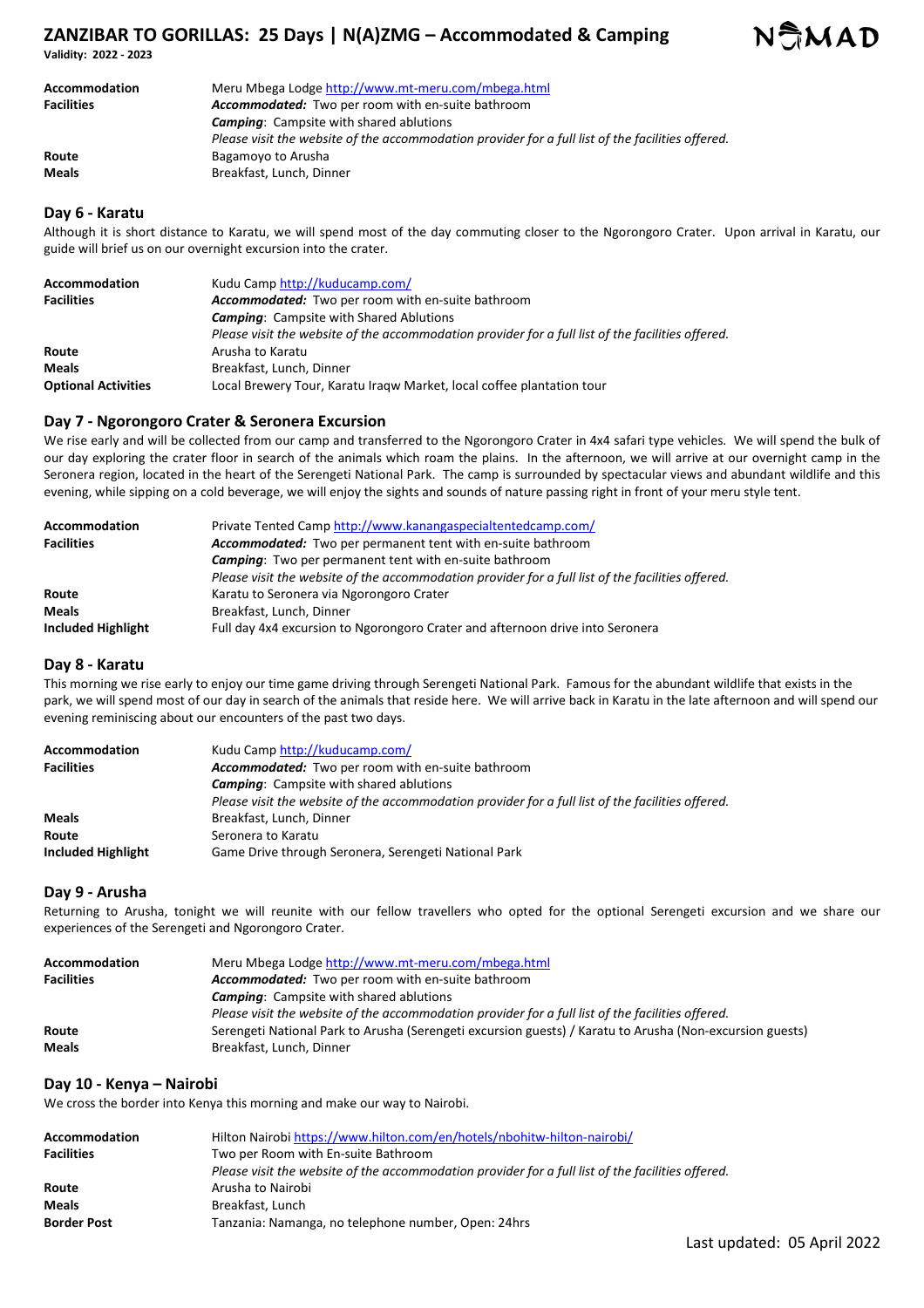**Validity: 2022 - 2023** 

| Accommodation     | Meru Mbega Lodge http://www.mt-meru.com/mbega.html                                                |
|-------------------|---------------------------------------------------------------------------------------------------|
| <b>Facilities</b> | <b>Accommodated:</b> Two per room with en-suite bathroom                                          |
|                   | <b>Camping:</b> Campsite with shared ablutions                                                    |
|                   | Please visit the website of the accommodation provider for a full list of the facilities offered. |
| Route             | Bagamoyo to Arusha                                                                                |
| <b>Meals</b>      | Breakfast, Lunch, Dinner                                                                          |

### **Day 6 - Karatu**

Although it is short distance to Karatu, we will spend most of the day commuting closer to the Ngorongoro Crater. Upon arrival in Karatu, our guide will brief us on our overnight excursion into the crater.

| <b>Accommodation</b>       | Kudu Camp http://kuducamp.com/                                                                    |
|----------------------------|---------------------------------------------------------------------------------------------------|
| <b>Facilities</b>          | Accommodated: Two per room with en-suite bathroom                                                 |
|                            | <b>Camping:</b> Campsite with Shared Ablutions                                                    |
|                            | Please visit the website of the accommodation provider for a full list of the facilities offered. |
| Route                      | Arusha to Karatu                                                                                  |
| <b>Meals</b>               | Breakfast, Lunch, Dinner                                                                          |
| <b>Optional Activities</b> | Local Brewery Tour, Karatu Iragw Market, local coffee plantation tour                             |

## **Day 7 - Ngorongoro Crater & Seronera Excursion**

We rise early and will be collected from our camp and transferred to the Ngorongoro Crater in 4x4 safari type vehicles. We will spend the bulk of our day exploring the crater floor in search of the animals which roam the plains. In the afternoon, we will arrive at our overnight camp in the Seronera region, located in the heart of the Serengeti National Park. The camp is surrounded by spectacular views and abundant wildlife and this evening, while sipping on a cold beverage, we will enjoy the sights and sounds of nature passing right in front of your meru style tent.

| Accommodation             | Private Tented Camp http://www.kanangaspecialtentedcamp.com/                                      |
|---------------------------|---------------------------------------------------------------------------------------------------|
| <b>Facilities</b>         | Accommodated: Two per permanent tent with en-suite bathroom                                       |
|                           | <b>Camping:</b> Two per permanent tent with en-suite bathroom                                     |
|                           | Please visit the website of the accommodation provider for a full list of the facilities offered. |
| Route                     | Karatu to Seronera via Ngorongoro Crater                                                          |
| <b>Meals</b>              | Breakfast, Lunch, Dinner                                                                          |
| <b>Included Highlight</b> | Full day 4x4 excursion to Ngorongoro Crater and afternoon drive into Seronera                     |

## **Day 8 - Karatu**

This morning we rise early to enjoy our time game driving through Serengeti National Park. Famous for the abundant wildlife that exists in the park, we will spend most of our day in search of the animals that reside here. We will arrive back in Karatu in the late afternoon and will spend our evening reminiscing about our encounters of the past two days.

| <b>Accommodation</b> | Kudu Camp http://kuducamp.com/                                                                    |
|----------------------|---------------------------------------------------------------------------------------------------|
| <b>Facilities</b>    | Accommodated: Two per room with en-suite bathroom                                                 |
|                      | <b>Camping:</b> Campsite with shared ablutions                                                    |
|                      | Please visit the website of the accommodation provider for a full list of the facilities offered. |
| <b>Meals</b>         | Breakfast, Lunch, Dinner                                                                          |
| Route                | Seronera to Karatu                                                                                |
| Included Highlight   | Game Drive through Seronera, Serengeti National Park                                              |

#### **Day 9 - Arusha**

Returning to Arusha, tonight we will reunite with our fellow travellers who opted for the optional Serengeti excursion and we share our experiences of the Serengeti and Ngorongoro Crater.

| Accommodation     | Meru Mbega Lodge http://www.mt-meru.com/mbega.html                                                       |
|-------------------|----------------------------------------------------------------------------------------------------------|
| <b>Facilities</b> | Accommodated: Two per room with en-suite bathroom                                                        |
|                   | <b>Camping:</b> Campsite with shared ablutions                                                           |
|                   | Please visit the website of the accommodation provider for a full list of the facilities offered.        |
| Route             | Serengeti National Park to Arusha (Serengeti excursion guests) / Karatu to Arusha (Non-excursion guests) |
| <b>Meals</b>      | Breakfast, Lunch, Dinner                                                                                 |

## **Day 10 - Kenya – Nairobi**

We cross the border into Kenya this morning and make our way to Nairobi.

| Accommodation     | Hilton Nairobi https://www.hilton.com/en/hotels/nbohitw-hilton-nairobi/                           |
|-------------------|---------------------------------------------------------------------------------------------------|
| <b>Facilities</b> | Two per Room with En-suite Bathroom                                                               |
|                   | Please visit the website of the accommodation provider for a full list of the facilities offered. |
| Route             | Arusha to Nairobi                                                                                 |
| Meals             | Breakfast, Lunch                                                                                  |
| Border Post       | Tanzania: Namanga, no telephone number, Open: 24hrs                                               |
|                   |                                                                                                   |

NSMAD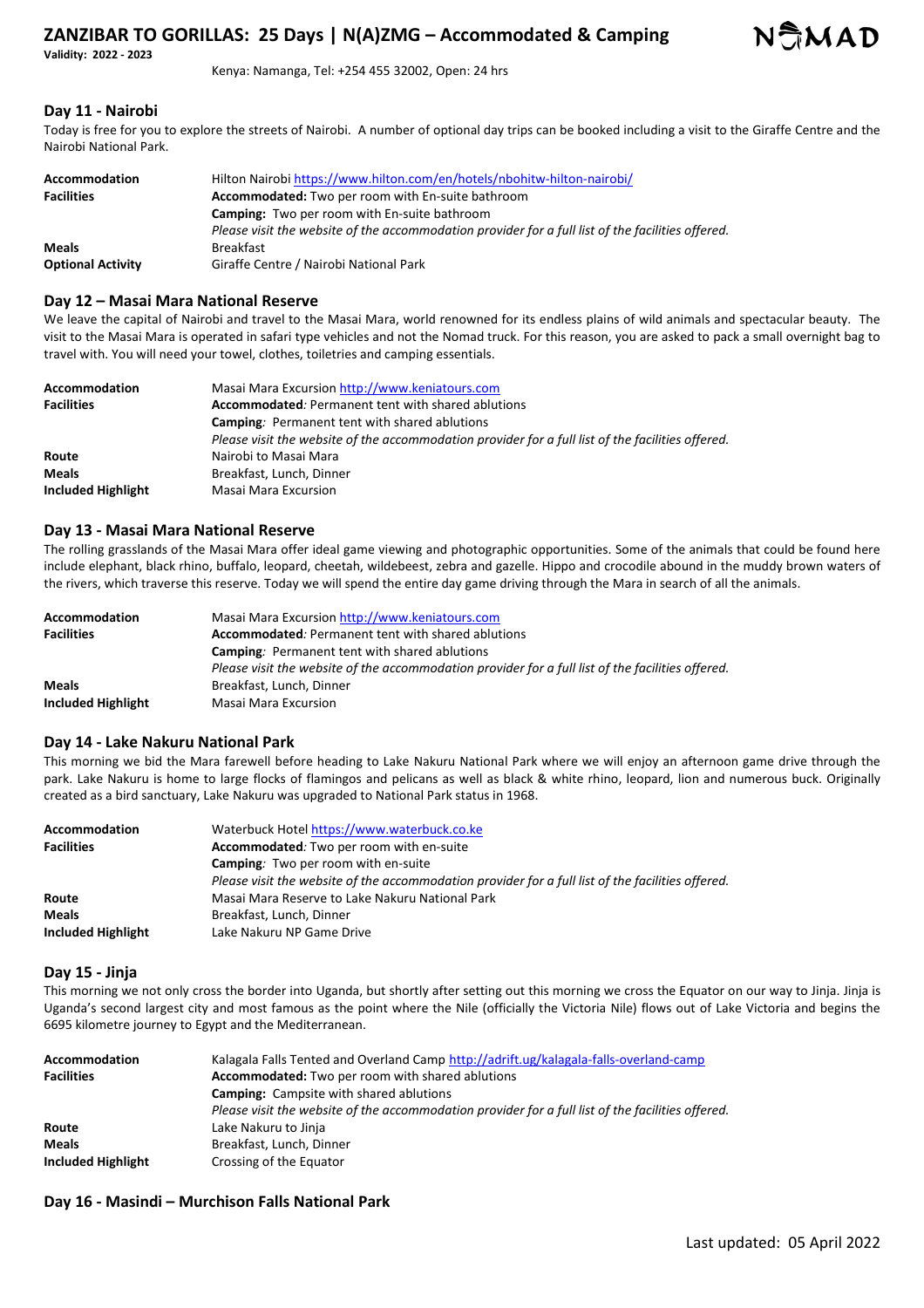**Validity: 2022 - 2023** 

Kenya: Namanga, Tel: +254 455 32002, Open: 24 hrs

## **Day 11 - Nairobi**

Today is free for you to explore the streets of Nairobi. A number of optional day trips can be booked including a visit to the Giraffe Centre and the Nairobi National Park.

| Accommodation            | Hilton Nairobi https://www.hilton.com/en/hotels/nbohitw-hilton-nairobi/                           |
|--------------------------|---------------------------------------------------------------------------------------------------|
| <b>Facilities</b>        | <b>Accommodated:</b> Two per room with En-suite bathroom                                          |
|                          | <b>Camping:</b> Two per room with En-suite bathroom                                               |
|                          | Please visit the website of the accommodation provider for a full list of the facilities offered. |
| <b>Meals</b>             | <b>Breakfast</b>                                                                                  |
| <b>Optional Activity</b> | Giraffe Centre / Nairobi National Park                                                            |

### **Day 12 – Masai Mara National Reserve**

We leave the capital of Nairobi and travel to the Masai Mara, world renowned for its endless plains of wild animals and spectacular beauty. The visit to the Masai Mara is operated in safari type vehicles and not the Nomad truck. For this reason, you are asked to pack a small overnight bag to travel with. You will need your towel, clothes, toiletries and camping essentials.

| Accommodation<br><b>Facilities</b> | Masai Mara Excursion http://www.keniatours.com<br><b>Accommodated:</b> Permanent tent with shared ablutions |
|------------------------------------|-------------------------------------------------------------------------------------------------------------|
|                                    |                                                                                                             |
|                                    | <b>Camping:</b> Permanent tent with shared ablutions                                                        |
|                                    | Please visit the website of the accommodation provider for a full list of the facilities offered.           |
| Route                              | Nairobi to Masai Mara                                                                                       |
| <b>Meals</b>                       | Breakfast, Lunch, Dinner                                                                                    |
| Included Highlight                 | Masai Mara Excursion                                                                                        |

## **Day 13 - Masai Mara National Reserve**

The rolling grasslands of the Masai Mara offer ideal game viewing and photographic opportunities. Some of the animals that could be found here include elephant, black rhino, buffalo, leopard, cheetah, wildebeest, zebra and gazelle. Hippo and crocodile abound in the muddy brown waters of the rivers, which traverse this reserve. Today we will spend the entire day game driving through the Mara in search of all the animals.

| <b>Accommodation</b> | Masai Mara Excursion http://www.keniatours.com                                                    |
|----------------------|---------------------------------------------------------------------------------------------------|
| <b>Facilities</b>    | Accommodated: Permanent tent with shared ablutions                                                |
|                      | <b>Camping:</b> Permanent tent with shared ablutions                                              |
|                      | Please visit the website of the accommodation provider for a full list of the facilities offered. |
| <b>Meals</b>         | Breakfast, Lunch, Dinner                                                                          |
| Included Highlight   | Masai Mara Excursion                                                                              |

### **Day 14 - Lake Nakuru National Park**

This morning we bid the Mara farewell before heading to Lake Nakuru National Park where we will enjoy an afternoon game drive through the park. Lake Nakuru is home to large flocks of flamingos and pelicans as well as black & white rhino, leopard, lion and numerous buck. Originally created as a bird sanctuary, Lake Nakuru was upgraded to National Park status in 1968.

| <b>Accommodation</b> | Waterbuck Hotel https://www.waterbuck.co.ke                                                       |
|----------------------|---------------------------------------------------------------------------------------------------|
| <b>Facilities</b>    | Accommodated: Two per room with en-suite                                                          |
|                      | <b>Camping:</b> Two per room with en-suite                                                        |
|                      | Please visit the website of the accommodation provider for a full list of the facilities offered. |
| Route                | Masai Mara Reserve to Lake Nakuru National Park                                                   |
| <b>Meals</b>         | Breakfast, Lunch, Dinner                                                                          |
| Included Highlight   | Lake Nakuru NP Game Drive                                                                         |

#### **Day 15 - Jinja**

This morning we not only cross the border into Uganda, but shortly after setting out this morning we cross the Equator on our way to Jinja. Jinja is Uganda's second largest city and most famous as the point where the Nile (officially the Victoria Nile) flows out of Lake Victoria and begins the 6695 kilometre journey to Egypt and the Mediterranean.

| Accommodation      | Kalagala Falls Tented and Overland Camp http://adrift.ug/kalagala-falls-overland-camp             |
|--------------------|---------------------------------------------------------------------------------------------------|
| <b>Facilities</b>  | Accommodated: Two per room with shared ablutions                                                  |
|                    | <b>Camping:</b> Campsite with shared ablutions                                                    |
|                    | Please visit the website of the accommodation provider for a full list of the facilities offered. |
| Route              | Lake Nakuru to Jinja                                                                              |
| <b>Meals</b>       | Breakfast, Lunch, Dinner                                                                          |
| Included Highlight | Crossing of the Equator                                                                           |

## **Day 16 - Masindi – Murchison Falls National Park**

NAMAD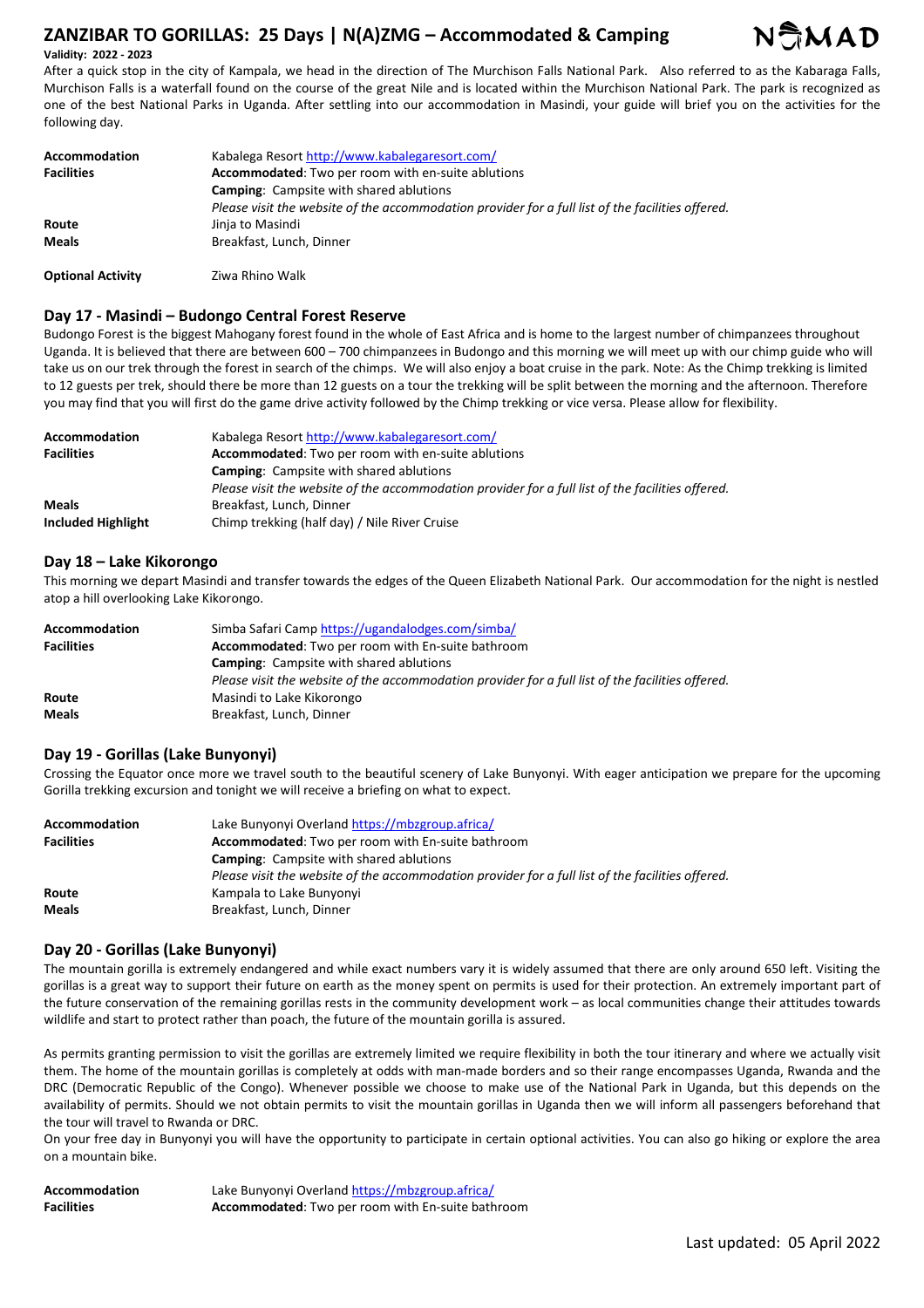

**Validity: 2022 - 2023** 

After a quick stop in the city of Kampala, we head in the direction of The Murchison Falls National Park. Also referred to as the Kabaraga Falls, Murchison Falls is a waterfall found on the course of the great Nile and is located within the Murchison National Park. The park is recognized as one of the best National Parks in Uganda. After settling into our accommodation in Masindi, your guide will brief you on the activities for the following day.

| Accommodation            | Kabalega Resort http://www.kabalegaresort.com/                                                    |
|--------------------------|---------------------------------------------------------------------------------------------------|
| <b>Facilities</b>        | Accommodated: Two per room with en-suite ablutions                                                |
|                          | <b>Camping:</b> Campsite with shared ablutions                                                    |
|                          | Please visit the website of the accommodation provider for a full list of the facilities offered. |
| Route                    | Jinja to Masindi                                                                                  |
| <b>Meals</b>             | Breakfast, Lunch, Dinner                                                                          |
| <b>Optional Activity</b> | Ziwa Rhino Walk                                                                                   |

## **Day 17 - Masindi – Budongo Central Forest Reserve**

Budongo Forest is the biggest Mahogany forest found in the whole of East Africa and is home to the largest number of chimpanzees throughout Uganda. It is believed that there are between 600 – 700 chimpanzees in Budongo and this morning we will meet up with our chimp guide who will take us on our trek through the forest in search of the chimps. We will also enjoy a boat cruise in the park. Note: As the Chimp trekking is limited to 12 guests per trek, should there be more than 12 guests on a tour the trekking will be split between the morning and the afternoon. Therefore you may find that you will first do the game drive activity followed by the Chimp trekking or vice versa. Please allow for flexibility.

| Accommodation      | Kabalega Resort http://www.kabalegaresort.com/                                                    |
|--------------------|---------------------------------------------------------------------------------------------------|
| <b>Facilities</b>  | Accommodated: Two per room with en-suite ablutions                                                |
|                    | <b>Camping:</b> Campsite with shared ablutions                                                    |
|                    | Please visit the website of the accommodation provider for a full list of the facilities offered. |
| <b>Meals</b>       | Breakfast, Lunch, Dinner                                                                          |
| Included Highlight | Chimp trekking (half day) / Nile River Cruise                                                     |

## **Day 18 – Lake Kikorongo**

This morning we depart Masindi and transfer towards the edges of the Queen Elizabeth National Park. Our accommodation for the night is nestled atop a hill overlooking Lake Kikorongo.

| Accommodation<br><b>Facilities</b> | Simba Safari Camp https://ugandalodges.com/simba/<br>Accommodated: Two per room with En-suite bathroom |
|------------------------------------|--------------------------------------------------------------------------------------------------------|
|                                    | <b>Camping:</b> Campsite with shared ablutions                                                         |
|                                    | Please visit the website of the accommodation provider for a full list of the facilities offered.      |
| Route                              | Masindi to Lake Kikorongo                                                                              |
| <b>Meals</b>                       | Breakfast, Lunch, Dinner                                                                               |

## **Day 19 - Gorillas (Lake Bunyonyi)**

Crossing the Equator once more we travel south to the beautiful scenery of Lake Bunyonyi. With eager anticipation we prepare for the upcoming Gorilla trekking excursion and tonight we will receive a briefing on what to expect.

| <b>Accommodation</b> | Lake Bunyonyi Overland https://mbzgroup.africa/                                                   |
|----------------------|---------------------------------------------------------------------------------------------------|
| <b>Facilities</b>    | Accommodated: Two per room with En-suite bathroom                                                 |
|                      | <b>Camping:</b> Campsite with shared ablutions                                                    |
|                      | Please visit the website of the accommodation provider for a full list of the facilities offered. |
| Route                | Kampala to Lake Bunyonyi                                                                          |
| <b>Meals</b>         | Breakfast, Lunch, Dinner                                                                          |

#### **Day 20 - Gorillas (Lake Bunyonyi)**

The mountain gorilla is extremely endangered and while exact numbers vary it is widely assumed that there are only around 650 left. Visiting the gorillas is a great way to support their future on earth as the money spent on permits is used for their protection. An extremely important part of the future conservation of the remaining gorillas rests in the community development work – as local communities change their attitudes towards wildlife and start to protect rather than poach, the future of the mountain gorilla is assured.

As permits granting permission to visit the gorillas are extremely limited we require flexibility in both the tour itinerary and where we actually visit them. The home of the mountain gorillas is completely at odds with man-made borders and so their range encompasses Uganda, Rwanda and the DRC (Democratic Republic of the Congo). Whenever possible we choose to make use of the National Park in Uganda, but this depends on the availability of permits. Should we not obtain permits to visit the mountain gorillas in Uganda then we will inform all passengers beforehand that the tour will travel to Rwanda or DRC.

On your free day in Bunyonyi you will have the opportunity to participate in certain optional activities. You can also go hiking or explore the area on a mountain bike.

| <b>Accommodation</b> | Lake Bunyonyi Overland https://mbzgroup.africa/   |
|----------------------|---------------------------------------------------|
| <b>Facilities</b>    | Accommodated: Two per room with En-suite bathroom |